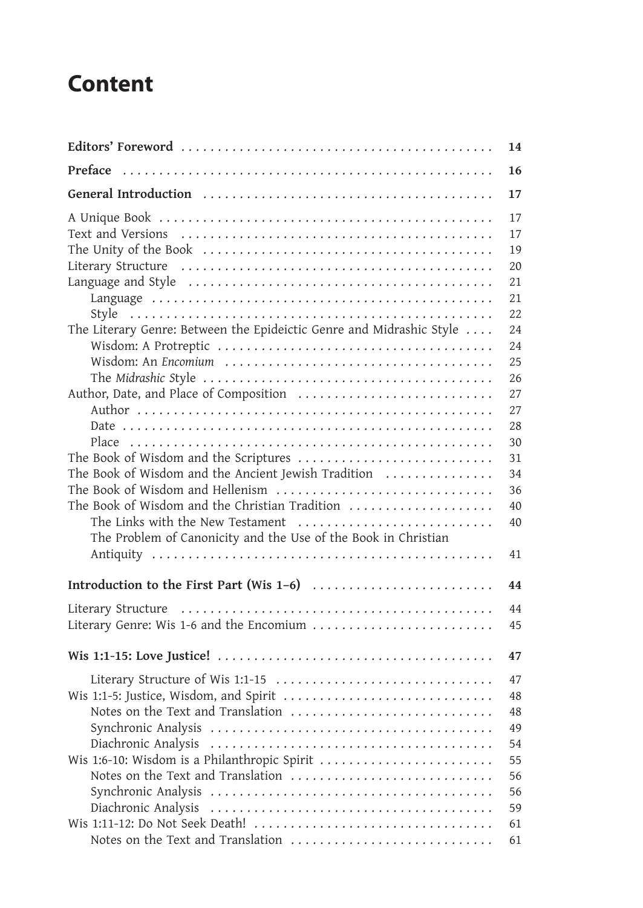## **Content**

| <b>Content</b>                                                                                                                                                                                                         |                            |
|------------------------------------------------------------------------------------------------------------------------------------------------------------------------------------------------------------------------|----------------------------|
|                                                                                                                                                                                                                        | 14                         |
| Preface                                                                                                                                                                                                                | 16                         |
|                                                                                                                                                                                                                        | 17                         |
|                                                                                                                                                                                                                        | 17<br>17<br>19<br>20<br>21 |
|                                                                                                                                                                                                                        | 21<br>22                   |
| The Literary Genre: Between the Epideictic Genre and Midrashic Style                                                                                                                                                   | 24<br>24<br>25<br>26       |
|                                                                                                                                                                                                                        | 27<br>27<br>28<br>30       |
| The Book of Wisdom and the Scriptures<br>The Book of Wisdom and the Ancient Jewish Tradition<br>The Book of Wisdom and Hellenism<br>The Book of Wisdom and the Christian Tradition<br>The Links with the New Testament | 31<br>34<br>36<br>40<br>40 |
| The Problem of Canonicity and the Use of the Book in Christian                                                                                                                                                         | 41                         |
|                                                                                                                                                                                                                        | 44                         |
| Literary Genre: Wis 1-6 and the Encomium                                                                                                                                                                               | 44<br>45                   |
|                                                                                                                                                                                                                        | 47                         |
| Literary Structure of Wis 1:1-15<br>Notes on the Text and Translation                                                                                                                                                  | 47<br>48<br>48<br>49<br>54 |
| Notes on the Text and Translation                                                                                                                                                                                      | 55<br>56<br>56<br>59       |
| Wis 1:11-12: Do Not Seek Death!                                                                                                                                                                                        | 61<br>61                   |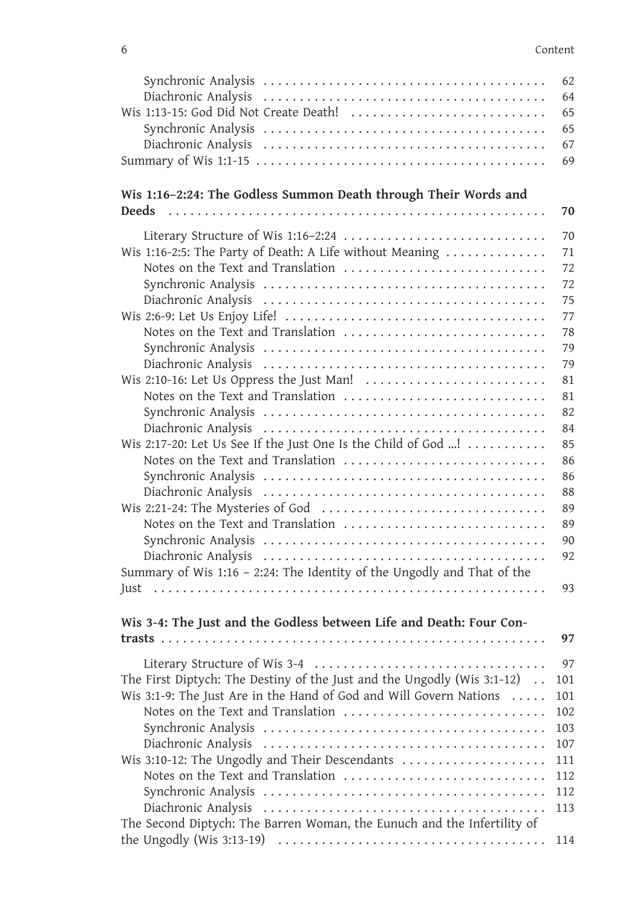| 6<br>Wis 1:16-2:24: The Godless Summon Death through Their Words and<br><b>Deeds</b><br>Literary Structure of Wis 1:16-2:24<br>Wis 1:16-2:5: The Party of Death: A Life without Meaning<br>Notes on the Text and Translation<br>Notes on the Text and Translation<br>Wis 2:10-16: Let Us Oppress the Just Man!<br>Notes on the Text and Translation<br>Wis 2:17-20: Let Us See If the Just One Is the Child of God !<br>Notes on the Text and Translation<br>Notes on the Text and Translation<br>Summary of Wis 1:16 - 2:24: The Identity of the Ungodly and That of the<br>Just<br>Wis 3-4: The Just and the Godless between Life and Death: Four Con-<br>The First Diptych: The Destiny of the Just and the Ungodly (Wis $3:1-12$ ).<br>Wis 3:1-9: The Just Are in the Hand of God and Will Govern Nations<br>Notes on the Text and Translation<br>Wis 3:10-12: The Ungodly and Their Descendants<br>Notes on the Text and Translation<br>The Second Diptych: The Barren Woman, the Eunuch and the Infertility of |            |
|----------------------------------------------------------------------------------------------------------------------------------------------------------------------------------------------------------------------------------------------------------------------------------------------------------------------------------------------------------------------------------------------------------------------------------------------------------------------------------------------------------------------------------------------------------------------------------------------------------------------------------------------------------------------------------------------------------------------------------------------------------------------------------------------------------------------------------------------------------------------------------------------------------------------------------------------------------------------------------------------------------------------|------------|
|                                                                                                                                                                                                                                                                                                                                                                                                                                                                                                                                                                                                                                                                                                                                                                                                                                                                                                                                                                                                                      | Content    |
|                                                                                                                                                                                                                                                                                                                                                                                                                                                                                                                                                                                                                                                                                                                                                                                                                                                                                                                                                                                                                      | 62         |
|                                                                                                                                                                                                                                                                                                                                                                                                                                                                                                                                                                                                                                                                                                                                                                                                                                                                                                                                                                                                                      | 64         |
|                                                                                                                                                                                                                                                                                                                                                                                                                                                                                                                                                                                                                                                                                                                                                                                                                                                                                                                                                                                                                      | 65         |
|                                                                                                                                                                                                                                                                                                                                                                                                                                                                                                                                                                                                                                                                                                                                                                                                                                                                                                                                                                                                                      | 65         |
|                                                                                                                                                                                                                                                                                                                                                                                                                                                                                                                                                                                                                                                                                                                                                                                                                                                                                                                                                                                                                      | 67<br>69   |
|                                                                                                                                                                                                                                                                                                                                                                                                                                                                                                                                                                                                                                                                                                                                                                                                                                                                                                                                                                                                                      |            |
|                                                                                                                                                                                                                                                                                                                                                                                                                                                                                                                                                                                                                                                                                                                                                                                                                                                                                                                                                                                                                      |            |
|                                                                                                                                                                                                                                                                                                                                                                                                                                                                                                                                                                                                                                                                                                                                                                                                                                                                                                                                                                                                                      | 70         |
|                                                                                                                                                                                                                                                                                                                                                                                                                                                                                                                                                                                                                                                                                                                                                                                                                                                                                                                                                                                                                      | 70         |
|                                                                                                                                                                                                                                                                                                                                                                                                                                                                                                                                                                                                                                                                                                                                                                                                                                                                                                                                                                                                                      | 71         |
|                                                                                                                                                                                                                                                                                                                                                                                                                                                                                                                                                                                                                                                                                                                                                                                                                                                                                                                                                                                                                      | 72         |
|                                                                                                                                                                                                                                                                                                                                                                                                                                                                                                                                                                                                                                                                                                                                                                                                                                                                                                                                                                                                                      | 72<br>75   |
|                                                                                                                                                                                                                                                                                                                                                                                                                                                                                                                                                                                                                                                                                                                                                                                                                                                                                                                                                                                                                      | 77         |
|                                                                                                                                                                                                                                                                                                                                                                                                                                                                                                                                                                                                                                                                                                                                                                                                                                                                                                                                                                                                                      | 78         |
|                                                                                                                                                                                                                                                                                                                                                                                                                                                                                                                                                                                                                                                                                                                                                                                                                                                                                                                                                                                                                      | 79         |
|                                                                                                                                                                                                                                                                                                                                                                                                                                                                                                                                                                                                                                                                                                                                                                                                                                                                                                                                                                                                                      | 79         |
|                                                                                                                                                                                                                                                                                                                                                                                                                                                                                                                                                                                                                                                                                                                                                                                                                                                                                                                                                                                                                      | 81         |
|                                                                                                                                                                                                                                                                                                                                                                                                                                                                                                                                                                                                                                                                                                                                                                                                                                                                                                                                                                                                                      | 81         |
|                                                                                                                                                                                                                                                                                                                                                                                                                                                                                                                                                                                                                                                                                                                                                                                                                                                                                                                                                                                                                      | 82         |
|                                                                                                                                                                                                                                                                                                                                                                                                                                                                                                                                                                                                                                                                                                                                                                                                                                                                                                                                                                                                                      | 84<br>85   |
|                                                                                                                                                                                                                                                                                                                                                                                                                                                                                                                                                                                                                                                                                                                                                                                                                                                                                                                                                                                                                      | 86         |
|                                                                                                                                                                                                                                                                                                                                                                                                                                                                                                                                                                                                                                                                                                                                                                                                                                                                                                                                                                                                                      | 86         |
|                                                                                                                                                                                                                                                                                                                                                                                                                                                                                                                                                                                                                                                                                                                                                                                                                                                                                                                                                                                                                      | 88         |
|                                                                                                                                                                                                                                                                                                                                                                                                                                                                                                                                                                                                                                                                                                                                                                                                                                                                                                                                                                                                                      | 89         |
|                                                                                                                                                                                                                                                                                                                                                                                                                                                                                                                                                                                                                                                                                                                                                                                                                                                                                                                                                                                                                      | 89         |
|                                                                                                                                                                                                                                                                                                                                                                                                                                                                                                                                                                                                                                                                                                                                                                                                                                                                                                                                                                                                                      | 90         |
|                                                                                                                                                                                                                                                                                                                                                                                                                                                                                                                                                                                                                                                                                                                                                                                                                                                                                                                                                                                                                      | 92         |
|                                                                                                                                                                                                                                                                                                                                                                                                                                                                                                                                                                                                                                                                                                                                                                                                                                                                                                                                                                                                                      | 93         |
|                                                                                                                                                                                                                                                                                                                                                                                                                                                                                                                                                                                                                                                                                                                                                                                                                                                                                                                                                                                                                      |            |
|                                                                                                                                                                                                                                                                                                                                                                                                                                                                                                                                                                                                                                                                                                                                                                                                                                                                                                                                                                                                                      |            |
|                                                                                                                                                                                                                                                                                                                                                                                                                                                                                                                                                                                                                                                                                                                                                                                                                                                                                                                                                                                                                      | 97         |
|                                                                                                                                                                                                                                                                                                                                                                                                                                                                                                                                                                                                                                                                                                                                                                                                                                                                                                                                                                                                                      | 97         |
|                                                                                                                                                                                                                                                                                                                                                                                                                                                                                                                                                                                                                                                                                                                                                                                                                                                                                                                                                                                                                      | 101        |
|                                                                                                                                                                                                                                                                                                                                                                                                                                                                                                                                                                                                                                                                                                                                                                                                                                                                                                                                                                                                                      | 101        |
|                                                                                                                                                                                                                                                                                                                                                                                                                                                                                                                                                                                                                                                                                                                                                                                                                                                                                                                                                                                                                      | 102<br>103 |
|                                                                                                                                                                                                                                                                                                                                                                                                                                                                                                                                                                                                                                                                                                                                                                                                                                                                                                                                                                                                                      | 107        |
|                                                                                                                                                                                                                                                                                                                                                                                                                                                                                                                                                                                                                                                                                                                                                                                                                                                                                                                                                                                                                      | 111        |
|                                                                                                                                                                                                                                                                                                                                                                                                                                                                                                                                                                                                                                                                                                                                                                                                                                                                                                                                                                                                                      | 112        |
|                                                                                                                                                                                                                                                                                                                                                                                                                                                                                                                                                                                                                                                                                                                                                                                                                                                                                                                                                                                                                      | 112        |
|                                                                                                                                                                                                                                                                                                                                                                                                                                                                                                                                                                                                                                                                                                                                                                                                                                                                                                                                                                                                                      | 113        |
|                                                                                                                                                                                                                                                                                                                                                                                                                                                                                                                                                                                                                                                                                                                                                                                                                                                                                                                                                                                                                      |            |
|                                                                                                                                                                                                                                                                                                                                                                                                                                                                                                                                                                                                                                                                                                                                                                                                                                                                                                                                                                                                                      | 114        |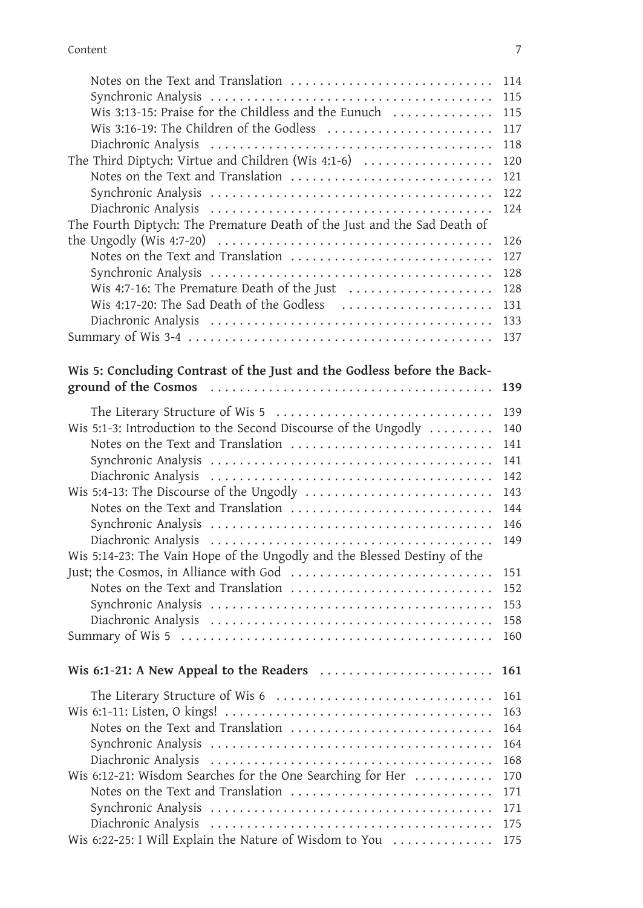| Content<br>Wis 3:13-15: Praise for the Childless and the Eunuch<br>Wis 3:16-19: The Children of the Godless<br>The Third Diptych: Virtue and Children (Wis 4:1-6)<br>Notes on the Text and Translation<br>121<br>122<br>Diachronic Analysis<br>124<br>The Fourth Diptych: The Premature Death of the Just and the Sad Death of<br>the Ungodly (Wis 4:7-20) $\ldots$ $\ldots$ $\ldots$ $\ldots$ $\ldots$ $\ldots$ $\ldots$<br>Notes on the Text and Translation<br>Wis 4:7-16: The Premature Death of the Just<br>Wis 4:17-20: The Sad Death of the Godless<br>Wis 5: Concluding Contrast of the Just and the Godless before the Back-<br>The Literary Structure of Wis 5<br>139<br>Wis 5:1-3: Introduction to the Second Discourse of the Ungodly<br>140<br>Notes on the Text and Translation<br>141<br>Wis 5:4-13: The Discourse of the Ungodly<br>Notes on the Text and Translation<br>Wis 5:14-23: The Vain Hope of the Ungodly and the Blessed Destiny of the<br>151<br>Notes on the Text and Translation<br>152<br>Wis 6:1-21: A New Appeal to the Readers<br>The Literary Structure of Wis 6<br>Notes on the Text and Translation<br>168<br>Wis 6:12-21: Wisdom Searches for the One Searching for Her<br>170<br>Notes on the Text and Translation<br>171<br>Wis 6:22-25: I Will Explain the Nature of Wisdom to You |            |
|----------------------------------------------------------------------------------------------------------------------------------------------------------------------------------------------------------------------------------------------------------------------------------------------------------------------------------------------------------------------------------------------------------------------------------------------------------------------------------------------------------------------------------------------------------------------------------------------------------------------------------------------------------------------------------------------------------------------------------------------------------------------------------------------------------------------------------------------------------------------------------------------------------------------------------------------------------------------------------------------------------------------------------------------------------------------------------------------------------------------------------------------------------------------------------------------------------------------------------------------------------------------------------------------------------------------------|------------|
|                                                                                                                                                                                                                                                                                                                                                                                                                                                                                                                                                                                                                                                                                                                                                                                                                                                                                                                                                                                                                                                                                                                                                                                                                                                                                                                            |            |
|                                                                                                                                                                                                                                                                                                                                                                                                                                                                                                                                                                                                                                                                                                                                                                                                                                                                                                                                                                                                                                                                                                                                                                                                                                                                                                                            | 7          |
|                                                                                                                                                                                                                                                                                                                                                                                                                                                                                                                                                                                                                                                                                                                                                                                                                                                                                                                                                                                                                                                                                                                                                                                                                                                                                                                            | 114        |
|                                                                                                                                                                                                                                                                                                                                                                                                                                                                                                                                                                                                                                                                                                                                                                                                                                                                                                                                                                                                                                                                                                                                                                                                                                                                                                                            | 115        |
|                                                                                                                                                                                                                                                                                                                                                                                                                                                                                                                                                                                                                                                                                                                                                                                                                                                                                                                                                                                                                                                                                                                                                                                                                                                                                                                            | 115        |
|                                                                                                                                                                                                                                                                                                                                                                                                                                                                                                                                                                                                                                                                                                                                                                                                                                                                                                                                                                                                                                                                                                                                                                                                                                                                                                                            | 117        |
|                                                                                                                                                                                                                                                                                                                                                                                                                                                                                                                                                                                                                                                                                                                                                                                                                                                                                                                                                                                                                                                                                                                                                                                                                                                                                                                            | 118        |
|                                                                                                                                                                                                                                                                                                                                                                                                                                                                                                                                                                                                                                                                                                                                                                                                                                                                                                                                                                                                                                                                                                                                                                                                                                                                                                                            | 120        |
|                                                                                                                                                                                                                                                                                                                                                                                                                                                                                                                                                                                                                                                                                                                                                                                                                                                                                                                                                                                                                                                                                                                                                                                                                                                                                                                            |            |
|                                                                                                                                                                                                                                                                                                                                                                                                                                                                                                                                                                                                                                                                                                                                                                                                                                                                                                                                                                                                                                                                                                                                                                                                                                                                                                                            |            |
|                                                                                                                                                                                                                                                                                                                                                                                                                                                                                                                                                                                                                                                                                                                                                                                                                                                                                                                                                                                                                                                                                                                                                                                                                                                                                                                            |            |
|                                                                                                                                                                                                                                                                                                                                                                                                                                                                                                                                                                                                                                                                                                                                                                                                                                                                                                                                                                                                                                                                                                                                                                                                                                                                                                                            | 126        |
|                                                                                                                                                                                                                                                                                                                                                                                                                                                                                                                                                                                                                                                                                                                                                                                                                                                                                                                                                                                                                                                                                                                                                                                                                                                                                                                            | 127        |
|                                                                                                                                                                                                                                                                                                                                                                                                                                                                                                                                                                                                                                                                                                                                                                                                                                                                                                                                                                                                                                                                                                                                                                                                                                                                                                                            | 128        |
|                                                                                                                                                                                                                                                                                                                                                                                                                                                                                                                                                                                                                                                                                                                                                                                                                                                                                                                                                                                                                                                                                                                                                                                                                                                                                                                            | 128        |
|                                                                                                                                                                                                                                                                                                                                                                                                                                                                                                                                                                                                                                                                                                                                                                                                                                                                                                                                                                                                                                                                                                                                                                                                                                                                                                                            | 131        |
|                                                                                                                                                                                                                                                                                                                                                                                                                                                                                                                                                                                                                                                                                                                                                                                                                                                                                                                                                                                                                                                                                                                                                                                                                                                                                                                            | 133        |
|                                                                                                                                                                                                                                                                                                                                                                                                                                                                                                                                                                                                                                                                                                                                                                                                                                                                                                                                                                                                                                                                                                                                                                                                                                                                                                                            | 137        |
|                                                                                                                                                                                                                                                                                                                                                                                                                                                                                                                                                                                                                                                                                                                                                                                                                                                                                                                                                                                                                                                                                                                                                                                                                                                                                                                            |            |
|                                                                                                                                                                                                                                                                                                                                                                                                                                                                                                                                                                                                                                                                                                                                                                                                                                                                                                                                                                                                                                                                                                                                                                                                                                                                                                                            | 139        |
|                                                                                                                                                                                                                                                                                                                                                                                                                                                                                                                                                                                                                                                                                                                                                                                                                                                                                                                                                                                                                                                                                                                                                                                                                                                                                                                            |            |
|                                                                                                                                                                                                                                                                                                                                                                                                                                                                                                                                                                                                                                                                                                                                                                                                                                                                                                                                                                                                                                                                                                                                                                                                                                                                                                                            |            |
|                                                                                                                                                                                                                                                                                                                                                                                                                                                                                                                                                                                                                                                                                                                                                                                                                                                                                                                                                                                                                                                                                                                                                                                                                                                                                                                            |            |
|                                                                                                                                                                                                                                                                                                                                                                                                                                                                                                                                                                                                                                                                                                                                                                                                                                                                                                                                                                                                                                                                                                                                                                                                                                                                                                                            | 141        |
|                                                                                                                                                                                                                                                                                                                                                                                                                                                                                                                                                                                                                                                                                                                                                                                                                                                                                                                                                                                                                                                                                                                                                                                                                                                                                                                            | 142        |
|                                                                                                                                                                                                                                                                                                                                                                                                                                                                                                                                                                                                                                                                                                                                                                                                                                                                                                                                                                                                                                                                                                                                                                                                                                                                                                                            | 143        |
|                                                                                                                                                                                                                                                                                                                                                                                                                                                                                                                                                                                                                                                                                                                                                                                                                                                                                                                                                                                                                                                                                                                                                                                                                                                                                                                            | 144        |
|                                                                                                                                                                                                                                                                                                                                                                                                                                                                                                                                                                                                                                                                                                                                                                                                                                                                                                                                                                                                                                                                                                                                                                                                                                                                                                                            | 146        |
|                                                                                                                                                                                                                                                                                                                                                                                                                                                                                                                                                                                                                                                                                                                                                                                                                                                                                                                                                                                                                                                                                                                                                                                                                                                                                                                            |            |
|                                                                                                                                                                                                                                                                                                                                                                                                                                                                                                                                                                                                                                                                                                                                                                                                                                                                                                                                                                                                                                                                                                                                                                                                                                                                                                                            |            |
|                                                                                                                                                                                                                                                                                                                                                                                                                                                                                                                                                                                                                                                                                                                                                                                                                                                                                                                                                                                                                                                                                                                                                                                                                                                                                                                            |            |
|                                                                                                                                                                                                                                                                                                                                                                                                                                                                                                                                                                                                                                                                                                                                                                                                                                                                                                                                                                                                                                                                                                                                                                                                                                                                                                                            | 153        |
|                                                                                                                                                                                                                                                                                                                                                                                                                                                                                                                                                                                                                                                                                                                                                                                                                                                                                                                                                                                                                                                                                                                                                                                                                                                                                                                            | 158        |
|                                                                                                                                                                                                                                                                                                                                                                                                                                                                                                                                                                                                                                                                                                                                                                                                                                                                                                                                                                                                                                                                                                                                                                                                                                                                                                                            | 160        |
|                                                                                                                                                                                                                                                                                                                                                                                                                                                                                                                                                                                                                                                                                                                                                                                                                                                                                                                                                                                                                                                                                                                                                                                                                                                                                                                            |            |
|                                                                                                                                                                                                                                                                                                                                                                                                                                                                                                                                                                                                                                                                                                                                                                                                                                                                                                                                                                                                                                                                                                                                                                                                                                                                                                                            | <b>161</b> |
|                                                                                                                                                                                                                                                                                                                                                                                                                                                                                                                                                                                                                                                                                                                                                                                                                                                                                                                                                                                                                                                                                                                                                                                                                                                                                                                            | 161        |
|                                                                                                                                                                                                                                                                                                                                                                                                                                                                                                                                                                                                                                                                                                                                                                                                                                                                                                                                                                                                                                                                                                                                                                                                                                                                                                                            | 163        |
|                                                                                                                                                                                                                                                                                                                                                                                                                                                                                                                                                                                                                                                                                                                                                                                                                                                                                                                                                                                                                                                                                                                                                                                                                                                                                                                            | 164        |
|                                                                                                                                                                                                                                                                                                                                                                                                                                                                                                                                                                                                                                                                                                                                                                                                                                                                                                                                                                                                                                                                                                                                                                                                                                                                                                                            | 164        |
|                                                                                                                                                                                                                                                                                                                                                                                                                                                                                                                                                                                                                                                                                                                                                                                                                                                                                                                                                                                                                                                                                                                                                                                                                                                                                                                            |            |
|                                                                                                                                                                                                                                                                                                                                                                                                                                                                                                                                                                                                                                                                                                                                                                                                                                                                                                                                                                                                                                                                                                                                                                                                                                                                                                                            |            |
|                                                                                                                                                                                                                                                                                                                                                                                                                                                                                                                                                                                                                                                                                                                                                                                                                                                                                                                                                                                                                                                                                                                                                                                                                                                                                                                            | 171        |
|                                                                                                                                                                                                                                                                                                                                                                                                                                                                                                                                                                                                                                                                                                                                                                                                                                                                                                                                                                                                                                                                                                                                                                                                                                                                                                                            | 175        |
|                                                                                                                                                                                                                                                                                                                                                                                                                                                                                                                                                                                                                                                                                                                                                                                                                                                                                                                                                                                                                                                                                                                                                                                                                                                                                                                            | 175        |
|                                                                                                                                                                                                                                                                                                                                                                                                                                                                                                                                                                                                                                                                                                                                                                                                                                                                                                                                                                                                                                                                                                                                                                                                                                                                                                                            |            |
|                                                                                                                                                                                                                                                                                                                                                                                                                                                                                                                                                                                                                                                                                                                                                                                                                                                                                                                                                                                                                                                                                                                                                                                                                                                                                                                            |            |
|                                                                                                                                                                                                                                                                                                                                                                                                                                                                                                                                                                                                                                                                                                                                                                                                                                                                                                                                                                                                                                                                                                                                                                                                                                                                                                                            |            |
|                                                                                                                                                                                                                                                                                                                                                                                                                                                                                                                                                                                                                                                                                                                                                                                                                                                                                                                                                                                                                                                                                                                                                                                                                                                                                                                            |            |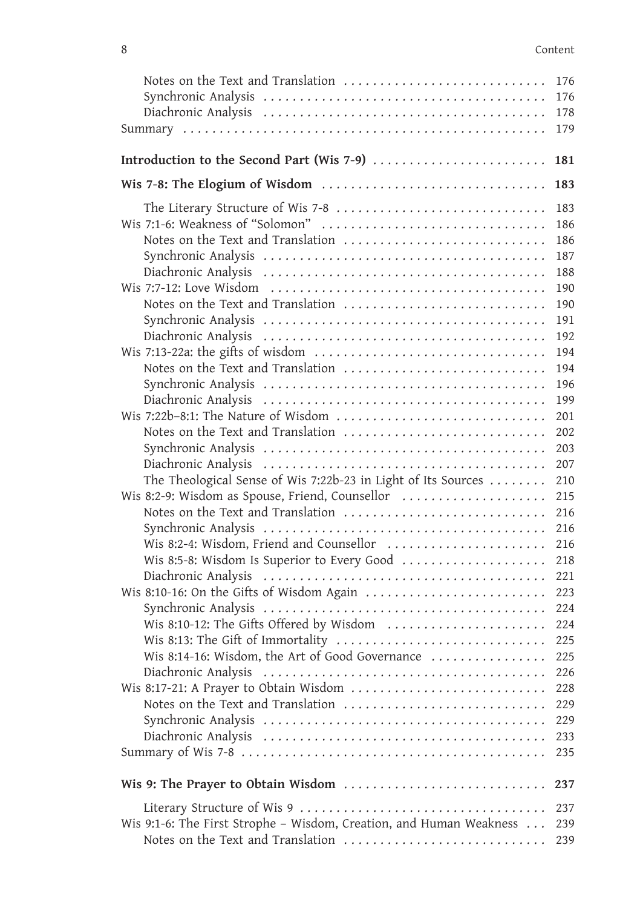| 8                   | Content                                                                                                                |
|---------------------|------------------------------------------------------------------------------------------------------------------------|
|                     | Notes on the Text and Translation<br>176                                                                               |
|                     | 176                                                                                                                    |
|                     | 178                                                                                                                    |
|                     | 179                                                                                                                    |
|                     | Introduction to the Second Part (Wis 7-9)<br>181                                                                       |
|                     | 183                                                                                                                    |
|                     | The Literary Structure of Wis 7-8<br>183                                                                               |
|                     | 186                                                                                                                    |
|                     | Notes on the Text and Translation<br>186                                                                               |
|                     | 187                                                                                                                    |
|                     | 188<br>190                                                                                                             |
|                     | Notes on the Text and Translation<br>190                                                                               |
|                     | 191                                                                                                                    |
|                     | 192                                                                                                                    |
|                     | 194                                                                                                                    |
|                     | Notes on the Text and Translation<br>194                                                                               |
|                     | 196                                                                                                                    |
|                     | 199<br>201                                                                                                             |
|                     | Notes on the Text and Translation<br>202                                                                               |
|                     | 203                                                                                                                    |
|                     | 207                                                                                                                    |
|                     | The Theological Sense of Wis 7:22b-23 in Light of Its Sources<br>210                                                   |
|                     | Wis 8:2-9: Wisdom as Spouse, Friend, Counsellor<br>215                                                                 |
|                     | Notes on the Text and Translation<br>216                                                                               |
|                     | 216                                                                                                                    |
|                     | Wis 8:2-4: Wisdom, Friend and Counsellor<br>216<br>218                                                                 |
| Diachronic Analysis | Wis 8:5-8: Wisdom Is Superior to Every Good<br>221                                                                     |
|                     | 223                                                                                                                    |
|                     | 224                                                                                                                    |
|                     | Wis 8:10-12: The Gifts Offered by Wisdom<br>224                                                                        |
|                     | Wis 8:13: The Gift of Immortality<br>225                                                                               |
|                     | Wis 8:14-16: Wisdom, the Art of Good Governance<br>225                                                                 |
|                     | 226                                                                                                                    |
|                     | Wis 8:17-21: A Prayer to Obtain Wisdom<br>228                                                                          |
|                     | Notes on the Text and Translation<br>229<br>229                                                                        |
|                     | 233                                                                                                                    |
|                     | 235                                                                                                                    |
|                     |                                                                                                                        |
|                     | Wis 9: The Prayer to Obtain Wisdom<br>237                                                                              |
|                     | 237                                                                                                                    |
|                     | Wis 9:1-6: The First Strophe - Wisdom, Creation, and Human Weakness<br>239<br>Notes on the Text and Translation<br>239 |
|                     |                                                                                                                        |
|                     |                                                                                                                        |
|                     |                                                                                                                        |
|                     |                                                                                                                        |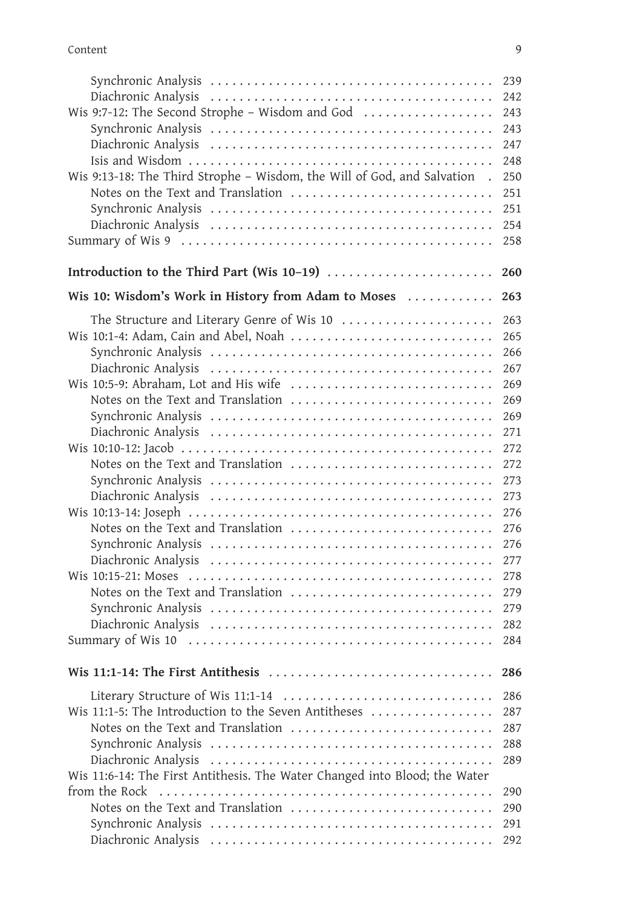| Content                                                                                            | 9          |
|----------------------------------------------------------------------------------------------------|------------|
|                                                                                                    | 239        |
|                                                                                                    | 242        |
| Wis 9:7-12: The Second Strophe - Wisdom and God                                                    | 243        |
|                                                                                                    | 243<br>247 |
|                                                                                                    | 248        |
| Wis 9:13-18: The Third Strophe - Wisdom, the Will of God, and Salvation.                           | 250        |
| Notes on the Text and Translation                                                                  | 251        |
|                                                                                                    | 251        |
|                                                                                                    | 254<br>258 |
|                                                                                                    |            |
|                                                                                                    | 260        |
| Wis 10: Wisdom's Work in History from Adam to Moses                                                | 263        |
| The Structure and Literary Genre of Wis 10                                                         | 263        |
| Wis 10:1-4: Adam, Cain and Abel, Noah                                                              | 265        |
|                                                                                                    | 266        |
|                                                                                                    | 267        |
| Notes on the Text and Translation                                                                  | 269<br>269 |
|                                                                                                    | 269        |
|                                                                                                    | 271        |
|                                                                                                    | 272        |
| Notes on the Text and Translation                                                                  | 272        |
|                                                                                                    | 273<br>273 |
|                                                                                                    | 276        |
| Notes on the Text and Translation                                                                  | 276        |
|                                                                                                    | 276        |
|                                                                                                    | 277<br>278 |
| Notes on the Text and Translation                                                                  | 279        |
|                                                                                                    | 279        |
|                                                                                                    | 282        |
|                                                                                                    | 284        |
| Wis 11:1-14: The First Antithesis $\ldots \ldots \ldots \ldots \ldots \ldots \ldots \ldots \ldots$ | 286        |
| Literary Structure of Wis 11:1-14                                                                  | 286        |
| Wis 11:1-5: The Introduction to the Seven Antitheses                                               | 287        |
| Notes on the Text and Translation                                                                  | 287        |
|                                                                                                    | 288        |
| Wis 11:6-14: The First Antithesis. The Water Changed into Blood; the Water                         | 289        |
|                                                                                                    | 290        |
| Notes on the Text and Translation                                                                  | 290        |
|                                                                                                    | 291        |
|                                                                                                    | 292        |
|                                                                                                    |            |
|                                                                                                    |            |
|                                                                                                    |            |
|                                                                                                    |            |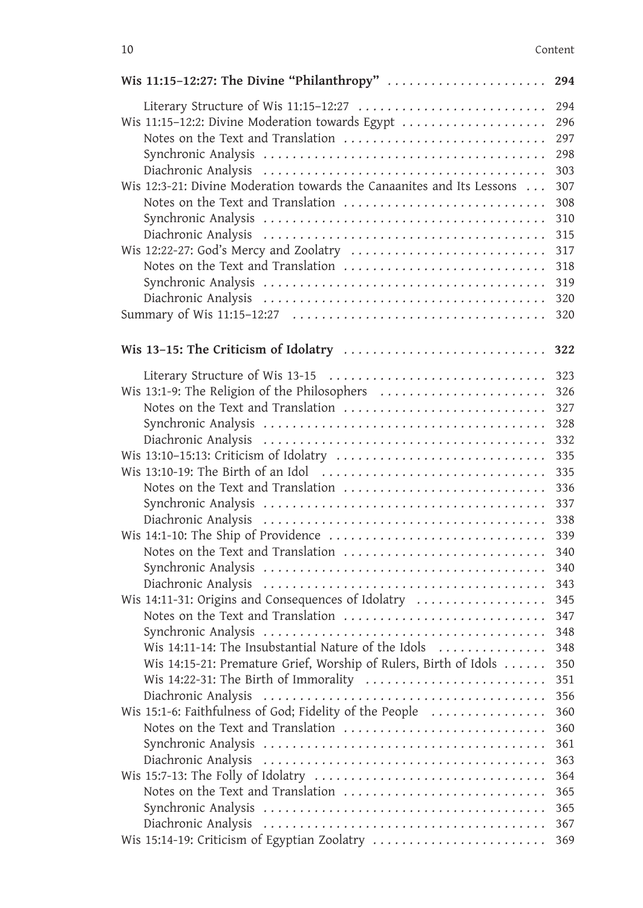| 10                                                                                                                                                                                                                                                                                                                                                                                                                                                                                   | Content                                                                                                                                         |
|--------------------------------------------------------------------------------------------------------------------------------------------------------------------------------------------------------------------------------------------------------------------------------------------------------------------------------------------------------------------------------------------------------------------------------------------------------------------------------------|-------------------------------------------------------------------------------------------------------------------------------------------------|
|                                                                                                                                                                                                                                                                                                                                                                                                                                                                                      |                                                                                                                                                 |
| Literary Structure of Wis 11:15-12:27<br>Wis 11:15-12:2: Divine Moderation towards Egypt<br>Wis 12:3-21: Divine Moderation towards the Canaanites and Its Lessons<br>Notes on the Text and Translation                                                                                                                                                                                                                                                                               | 294<br>296<br>297<br>298<br>303<br>307<br>308<br>310<br>315<br>317<br>318<br>319<br>320                                                         |
|                                                                                                                                                                                                                                                                                                                                                                                                                                                                                      | 320                                                                                                                                             |
|                                                                                                                                                                                                                                                                                                                                                                                                                                                                                      |                                                                                                                                                 |
| Literary Structure of Wis 13-15<br>Wis 13:1-9: The Religion of the Philosophers<br>Notes on the Text and Translation<br>Notes on the Text and Translation<br>Notes on the Text and Translation<br>Wis 14:11-31: Origins and Consequences of Idolatry<br>Notes on the Text and Translation<br>Wis 14:11-14: The Insubstantial Nature of the Idols<br>Wis 14:15-21: Premature Grief, Worship of Rulers, Birth of Idols<br>Wis 14:22-31: The Birth of Immorality<br>Diachronic Analysis | 323<br>326<br>327<br>328<br>332<br>335<br>335<br>336<br>337<br>338<br>339<br>340<br>340<br>343<br>345<br>347<br>348<br>348<br>350<br>351<br>356 |
| Wis 15:1-6: Faithfulness of God; Fidelity of the People<br>Notes on the Text and Translation<br>Notes on the Text and Translation                                                                                                                                                                                                                                                                                                                                                    | 360<br>360<br>361<br>363<br>364<br>365<br>365<br>367                                                                                            |
|                                                                                                                                                                                                                                                                                                                                                                                                                                                                                      | 369                                                                                                                                             |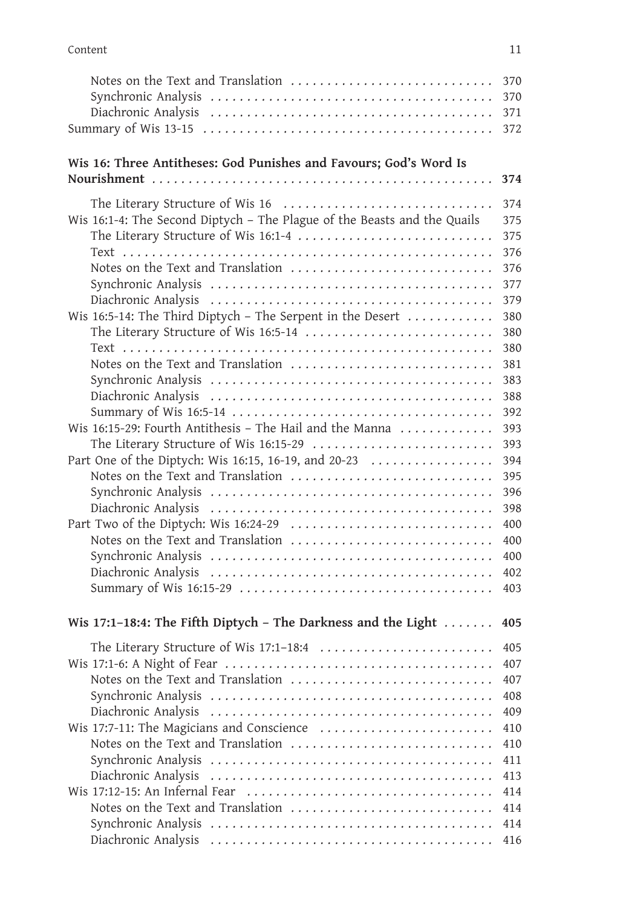| Content<br>11<br>Notes on the Text and Translation<br>370<br>372<br>Wis 16: Three Antitheses: God Punishes and Favours; God's Word Is<br>374<br>The Literary Structure of Wis 16<br>374<br>Wis 16:1-4: The Second Diptych - The Plague of the Beasts and the Quails<br>375<br>The Literary Structure of Wis 16:1-4<br>375<br>376<br>Notes on the Text and Translation<br>376<br>377<br>379<br>Wis 16:5-14: The Third Diptych - The Serpent in the Desert $\ldots \ldots \ldots$<br>380<br>380<br>380<br>Notes on the Text and Translation<br>381<br>383<br>388<br>392<br>Wis 16:15-29: Fourth Antithesis - The Hail and the Manna<br>393<br>The Literary Structure of Wis 16:15-29<br>393<br>Part One of the Diptych: Wis 16:15, 16-19, and 20-23<br>394<br>Notes on the Text and Translation<br>395<br>396<br>398<br>400<br>400<br>400<br>402<br>403<br>Wis 17:1-18:4: The Fifth Diptych - The Darkness and the Light $\dots\dots$<br>405<br>The Literary Structure of Wis 17:1-18:4<br>405<br>407<br>Notes on the Text and Translation<br>407<br>408<br>409<br>410<br>Notes on the Text and Translation<br>410<br>411<br>413<br>414<br>Notes on the Text and Translation<br>414<br>414<br>416 |  |
|-------------------------------------------------------------------------------------------------------------------------------------------------------------------------------------------------------------------------------------------------------------------------------------------------------------------------------------------------------------------------------------------------------------------------------------------------------------------------------------------------------------------------------------------------------------------------------------------------------------------------------------------------------------------------------------------------------------------------------------------------------------------------------------------------------------------------------------------------------------------------------------------------------------------------------------------------------------------------------------------------------------------------------------------------------------------------------------------------------------------------------------------------------------------------------------------------|--|
|                                                                                                                                                                                                                                                                                                                                                                                                                                                                                                                                                                                                                                                                                                                                                                                                                                                                                                                                                                                                                                                                                                                                                                                                 |  |
|                                                                                                                                                                                                                                                                                                                                                                                                                                                                                                                                                                                                                                                                                                                                                                                                                                                                                                                                                                                                                                                                                                                                                                                                 |  |
|                                                                                                                                                                                                                                                                                                                                                                                                                                                                                                                                                                                                                                                                                                                                                                                                                                                                                                                                                                                                                                                                                                                                                                                                 |  |
|                                                                                                                                                                                                                                                                                                                                                                                                                                                                                                                                                                                                                                                                                                                                                                                                                                                                                                                                                                                                                                                                                                                                                                                                 |  |
|                                                                                                                                                                                                                                                                                                                                                                                                                                                                                                                                                                                                                                                                                                                                                                                                                                                                                                                                                                                                                                                                                                                                                                                                 |  |
|                                                                                                                                                                                                                                                                                                                                                                                                                                                                                                                                                                                                                                                                                                                                                                                                                                                                                                                                                                                                                                                                                                                                                                                                 |  |
|                                                                                                                                                                                                                                                                                                                                                                                                                                                                                                                                                                                                                                                                                                                                                                                                                                                                                                                                                                                                                                                                                                                                                                                                 |  |
|                                                                                                                                                                                                                                                                                                                                                                                                                                                                                                                                                                                                                                                                                                                                                                                                                                                                                                                                                                                                                                                                                                                                                                                                 |  |
|                                                                                                                                                                                                                                                                                                                                                                                                                                                                                                                                                                                                                                                                                                                                                                                                                                                                                                                                                                                                                                                                                                                                                                                                 |  |
|                                                                                                                                                                                                                                                                                                                                                                                                                                                                                                                                                                                                                                                                                                                                                                                                                                                                                                                                                                                                                                                                                                                                                                                                 |  |
|                                                                                                                                                                                                                                                                                                                                                                                                                                                                                                                                                                                                                                                                                                                                                                                                                                                                                                                                                                                                                                                                                                                                                                                                 |  |
|                                                                                                                                                                                                                                                                                                                                                                                                                                                                                                                                                                                                                                                                                                                                                                                                                                                                                                                                                                                                                                                                                                                                                                                                 |  |
|                                                                                                                                                                                                                                                                                                                                                                                                                                                                                                                                                                                                                                                                                                                                                                                                                                                                                                                                                                                                                                                                                                                                                                                                 |  |
|                                                                                                                                                                                                                                                                                                                                                                                                                                                                                                                                                                                                                                                                                                                                                                                                                                                                                                                                                                                                                                                                                                                                                                                                 |  |
|                                                                                                                                                                                                                                                                                                                                                                                                                                                                                                                                                                                                                                                                                                                                                                                                                                                                                                                                                                                                                                                                                                                                                                                                 |  |
|                                                                                                                                                                                                                                                                                                                                                                                                                                                                                                                                                                                                                                                                                                                                                                                                                                                                                                                                                                                                                                                                                                                                                                                                 |  |
|                                                                                                                                                                                                                                                                                                                                                                                                                                                                                                                                                                                                                                                                                                                                                                                                                                                                                                                                                                                                                                                                                                                                                                                                 |  |
|                                                                                                                                                                                                                                                                                                                                                                                                                                                                                                                                                                                                                                                                                                                                                                                                                                                                                                                                                                                                                                                                                                                                                                                                 |  |
|                                                                                                                                                                                                                                                                                                                                                                                                                                                                                                                                                                                                                                                                                                                                                                                                                                                                                                                                                                                                                                                                                                                                                                                                 |  |
|                                                                                                                                                                                                                                                                                                                                                                                                                                                                                                                                                                                                                                                                                                                                                                                                                                                                                                                                                                                                                                                                                                                                                                                                 |  |
|                                                                                                                                                                                                                                                                                                                                                                                                                                                                                                                                                                                                                                                                                                                                                                                                                                                                                                                                                                                                                                                                                                                                                                                                 |  |
|                                                                                                                                                                                                                                                                                                                                                                                                                                                                                                                                                                                                                                                                                                                                                                                                                                                                                                                                                                                                                                                                                                                                                                                                 |  |
|                                                                                                                                                                                                                                                                                                                                                                                                                                                                                                                                                                                                                                                                                                                                                                                                                                                                                                                                                                                                                                                                                                                                                                                                 |  |
|                                                                                                                                                                                                                                                                                                                                                                                                                                                                                                                                                                                                                                                                                                                                                                                                                                                                                                                                                                                                                                                                                                                                                                                                 |  |
|                                                                                                                                                                                                                                                                                                                                                                                                                                                                                                                                                                                                                                                                                                                                                                                                                                                                                                                                                                                                                                                                                                                                                                                                 |  |
|                                                                                                                                                                                                                                                                                                                                                                                                                                                                                                                                                                                                                                                                                                                                                                                                                                                                                                                                                                                                                                                                                                                                                                                                 |  |
|                                                                                                                                                                                                                                                                                                                                                                                                                                                                                                                                                                                                                                                                                                                                                                                                                                                                                                                                                                                                                                                                                                                                                                                                 |  |
|                                                                                                                                                                                                                                                                                                                                                                                                                                                                                                                                                                                                                                                                                                                                                                                                                                                                                                                                                                                                                                                                                                                                                                                                 |  |
|                                                                                                                                                                                                                                                                                                                                                                                                                                                                                                                                                                                                                                                                                                                                                                                                                                                                                                                                                                                                                                                                                                                                                                                                 |  |
|                                                                                                                                                                                                                                                                                                                                                                                                                                                                                                                                                                                                                                                                                                                                                                                                                                                                                                                                                                                                                                                                                                                                                                                                 |  |
|                                                                                                                                                                                                                                                                                                                                                                                                                                                                                                                                                                                                                                                                                                                                                                                                                                                                                                                                                                                                                                                                                                                                                                                                 |  |
|                                                                                                                                                                                                                                                                                                                                                                                                                                                                                                                                                                                                                                                                                                                                                                                                                                                                                                                                                                                                                                                                                                                                                                                                 |  |
|                                                                                                                                                                                                                                                                                                                                                                                                                                                                                                                                                                                                                                                                                                                                                                                                                                                                                                                                                                                                                                                                                                                                                                                                 |  |
|                                                                                                                                                                                                                                                                                                                                                                                                                                                                                                                                                                                                                                                                                                                                                                                                                                                                                                                                                                                                                                                                                                                                                                                                 |  |
|                                                                                                                                                                                                                                                                                                                                                                                                                                                                                                                                                                                                                                                                                                                                                                                                                                                                                                                                                                                                                                                                                                                                                                                                 |  |
|                                                                                                                                                                                                                                                                                                                                                                                                                                                                                                                                                                                                                                                                                                                                                                                                                                                                                                                                                                                                                                                                                                                                                                                                 |  |
|                                                                                                                                                                                                                                                                                                                                                                                                                                                                                                                                                                                                                                                                                                                                                                                                                                                                                                                                                                                                                                                                                                                                                                                                 |  |
|                                                                                                                                                                                                                                                                                                                                                                                                                                                                                                                                                                                                                                                                                                                                                                                                                                                                                                                                                                                                                                                                                                                                                                                                 |  |
|                                                                                                                                                                                                                                                                                                                                                                                                                                                                                                                                                                                                                                                                                                                                                                                                                                                                                                                                                                                                                                                                                                                                                                                                 |  |
|                                                                                                                                                                                                                                                                                                                                                                                                                                                                                                                                                                                                                                                                                                                                                                                                                                                                                                                                                                                                                                                                                                                                                                                                 |  |
|                                                                                                                                                                                                                                                                                                                                                                                                                                                                                                                                                                                                                                                                                                                                                                                                                                                                                                                                                                                                                                                                                                                                                                                                 |  |
|                                                                                                                                                                                                                                                                                                                                                                                                                                                                                                                                                                                                                                                                                                                                                                                                                                                                                                                                                                                                                                                                                                                                                                                                 |  |
|                                                                                                                                                                                                                                                                                                                                                                                                                                                                                                                                                                                                                                                                                                                                                                                                                                                                                                                                                                                                                                                                                                                                                                                                 |  |
|                                                                                                                                                                                                                                                                                                                                                                                                                                                                                                                                                                                                                                                                                                                                                                                                                                                                                                                                                                                                                                                                                                                                                                                                 |  |
|                                                                                                                                                                                                                                                                                                                                                                                                                                                                                                                                                                                                                                                                                                                                                                                                                                                                                                                                                                                                                                                                                                                                                                                                 |  |
|                                                                                                                                                                                                                                                                                                                                                                                                                                                                                                                                                                                                                                                                                                                                                                                                                                                                                                                                                                                                                                                                                                                                                                                                 |  |
|                                                                                                                                                                                                                                                                                                                                                                                                                                                                                                                                                                                                                                                                                                                                                                                                                                                                                                                                                                                                                                                                                                                                                                                                 |  |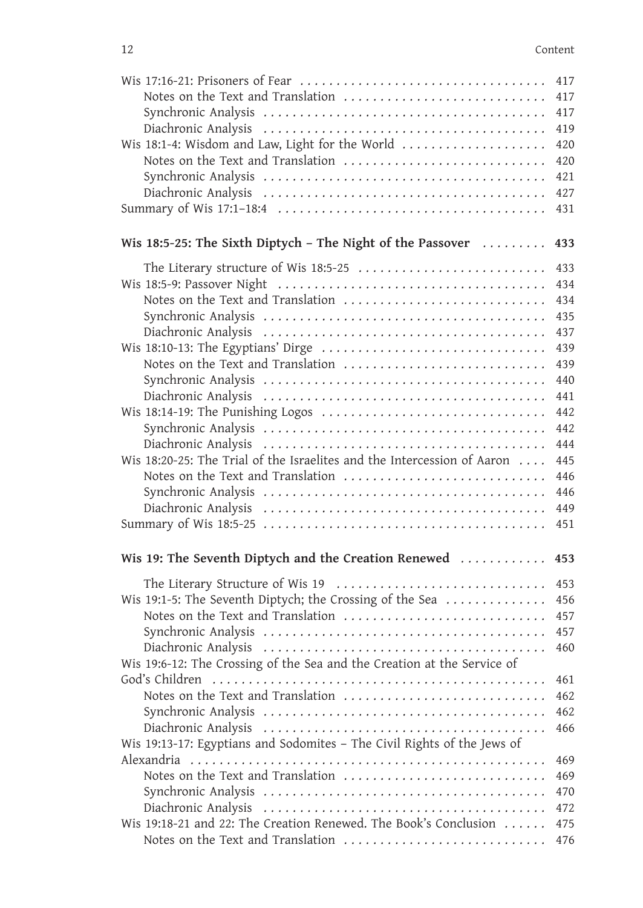| 12<br>Notes on the Text and Translation<br>Wis 18:1-4: Wisdom and Law, Light for the World<br>Notes on the Text and Translation<br>Wis 18:5-25: The Sixth Diptych – The Night of the Passover $\ldots \ldots$<br>The Literary structure of Wis 18:5-25<br>Notes on the Text and Translation<br>Wis 18:10-13: The Egyptians' Dirge<br>Notes on the Text and Translation<br>Wis 18:14-19: The Punishing Logos<br>Wis 18:20-25: The Trial of the Israelites and the Intercession of Aaron<br>Notes on the Text and Translation<br>Wis 19: The Seventh Diptych and the Creation Renewed<br>The Literary Structure of Wis 19<br>Wis 19:1-5: The Seventh Diptych; the Crossing of the Sea<br>Notes on the Text and Translation<br>Wis 19:6-12: The Crossing of the Sea and the Creation at the Service of<br>Notes on the Text and Translation |         |            |
|------------------------------------------------------------------------------------------------------------------------------------------------------------------------------------------------------------------------------------------------------------------------------------------------------------------------------------------------------------------------------------------------------------------------------------------------------------------------------------------------------------------------------------------------------------------------------------------------------------------------------------------------------------------------------------------------------------------------------------------------------------------------------------------------------------------------------------------|---------|------------|
|                                                                                                                                                                                                                                                                                                                                                                                                                                                                                                                                                                                                                                                                                                                                                                                                                                          |         |            |
|                                                                                                                                                                                                                                                                                                                                                                                                                                                                                                                                                                                                                                                                                                                                                                                                                                          | Content |            |
|                                                                                                                                                                                                                                                                                                                                                                                                                                                                                                                                                                                                                                                                                                                                                                                                                                          |         | 417<br>417 |
|                                                                                                                                                                                                                                                                                                                                                                                                                                                                                                                                                                                                                                                                                                                                                                                                                                          |         | 417        |
|                                                                                                                                                                                                                                                                                                                                                                                                                                                                                                                                                                                                                                                                                                                                                                                                                                          |         | 419<br>420 |
|                                                                                                                                                                                                                                                                                                                                                                                                                                                                                                                                                                                                                                                                                                                                                                                                                                          |         | 420<br>421 |
|                                                                                                                                                                                                                                                                                                                                                                                                                                                                                                                                                                                                                                                                                                                                                                                                                                          |         | 427        |
|                                                                                                                                                                                                                                                                                                                                                                                                                                                                                                                                                                                                                                                                                                                                                                                                                                          |         | 431        |
|                                                                                                                                                                                                                                                                                                                                                                                                                                                                                                                                                                                                                                                                                                                                                                                                                                          |         | 433        |
|                                                                                                                                                                                                                                                                                                                                                                                                                                                                                                                                                                                                                                                                                                                                                                                                                                          |         | 433        |
|                                                                                                                                                                                                                                                                                                                                                                                                                                                                                                                                                                                                                                                                                                                                                                                                                                          |         | 434        |
|                                                                                                                                                                                                                                                                                                                                                                                                                                                                                                                                                                                                                                                                                                                                                                                                                                          |         | 434        |
|                                                                                                                                                                                                                                                                                                                                                                                                                                                                                                                                                                                                                                                                                                                                                                                                                                          |         | 435<br>437 |
|                                                                                                                                                                                                                                                                                                                                                                                                                                                                                                                                                                                                                                                                                                                                                                                                                                          |         | 439        |
|                                                                                                                                                                                                                                                                                                                                                                                                                                                                                                                                                                                                                                                                                                                                                                                                                                          |         | 439        |
|                                                                                                                                                                                                                                                                                                                                                                                                                                                                                                                                                                                                                                                                                                                                                                                                                                          |         | 440        |
|                                                                                                                                                                                                                                                                                                                                                                                                                                                                                                                                                                                                                                                                                                                                                                                                                                          |         | 441        |
|                                                                                                                                                                                                                                                                                                                                                                                                                                                                                                                                                                                                                                                                                                                                                                                                                                          |         | 442        |
|                                                                                                                                                                                                                                                                                                                                                                                                                                                                                                                                                                                                                                                                                                                                                                                                                                          |         | 442        |
|                                                                                                                                                                                                                                                                                                                                                                                                                                                                                                                                                                                                                                                                                                                                                                                                                                          |         | 444        |
|                                                                                                                                                                                                                                                                                                                                                                                                                                                                                                                                                                                                                                                                                                                                                                                                                                          |         | 445<br>446 |
|                                                                                                                                                                                                                                                                                                                                                                                                                                                                                                                                                                                                                                                                                                                                                                                                                                          |         | 446        |
|                                                                                                                                                                                                                                                                                                                                                                                                                                                                                                                                                                                                                                                                                                                                                                                                                                          |         | 449        |
|                                                                                                                                                                                                                                                                                                                                                                                                                                                                                                                                                                                                                                                                                                                                                                                                                                          |         | 451        |
|                                                                                                                                                                                                                                                                                                                                                                                                                                                                                                                                                                                                                                                                                                                                                                                                                                          |         | 453        |
|                                                                                                                                                                                                                                                                                                                                                                                                                                                                                                                                                                                                                                                                                                                                                                                                                                          |         | 453        |
|                                                                                                                                                                                                                                                                                                                                                                                                                                                                                                                                                                                                                                                                                                                                                                                                                                          |         | 456        |
|                                                                                                                                                                                                                                                                                                                                                                                                                                                                                                                                                                                                                                                                                                                                                                                                                                          |         | 457        |
|                                                                                                                                                                                                                                                                                                                                                                                                                                                                                                                                                                                                                                                                                                                                                                                                                                          |         | 457<br>460 |
|                                                                                                                                                                                                                                                                                                                                                                                                                                                                                                                                                                                                                                                                                                                                                                                                                                          |         | 461        |
|                                                                                                                                                                                                                                                                                                                                                                                                                                                                                                                                                                                                                                                                                                                                                                                                                                          |         | 462        |
|                                                                                                                                                                                                                                                                                                                                                                                                                                                                                                                                                                                                                                                                                                                                                                                                                                          |         | 462        |
|                                                                                                                                                                                                                                                                                                                                                                                                                                                                                                                                                                                                                                                                                                                                                                                                                                          |         | 466        |
| Wis 19:13-17: Egyptians and Sodomites - The Civil Rights of the Jews of                                                                                                                                                                                                                                                                                                                                                                                                                                                                                                                                                                                                                                                                                                                                                                  |         |            |
|                                                                                                                                                                                                                                                                                                                                                                                                                                                                                                                                                                                                                                                                                                                                                                                                                                          |         | 469<br>469 |
|                                                                                                                                                                                                                                                                                                                                                                                                                                                                                                                                                                                                                                                                                                                                                                                                                                          |         | 470        |
|                                                                                                                                                                                                                                                                                                                                                                                                                                                                                                                                                                                                                                                                                                                                                                                                                                          |         | 472        |
| Wis 19:18-21 and 22: The Creation Renewed. The Book's Conclusion                                                                                                                                                                                                                                                                                                                                                                                                                                                                                                                                                                                                                                                                                                                                                                         |         | 475        |
| Notes on the Text and Translation                                                                                                                                                                                                                                                                                                                                                                                                                                                                                                                                                                                                                                                                                                                                                                                                        |         | 476        |